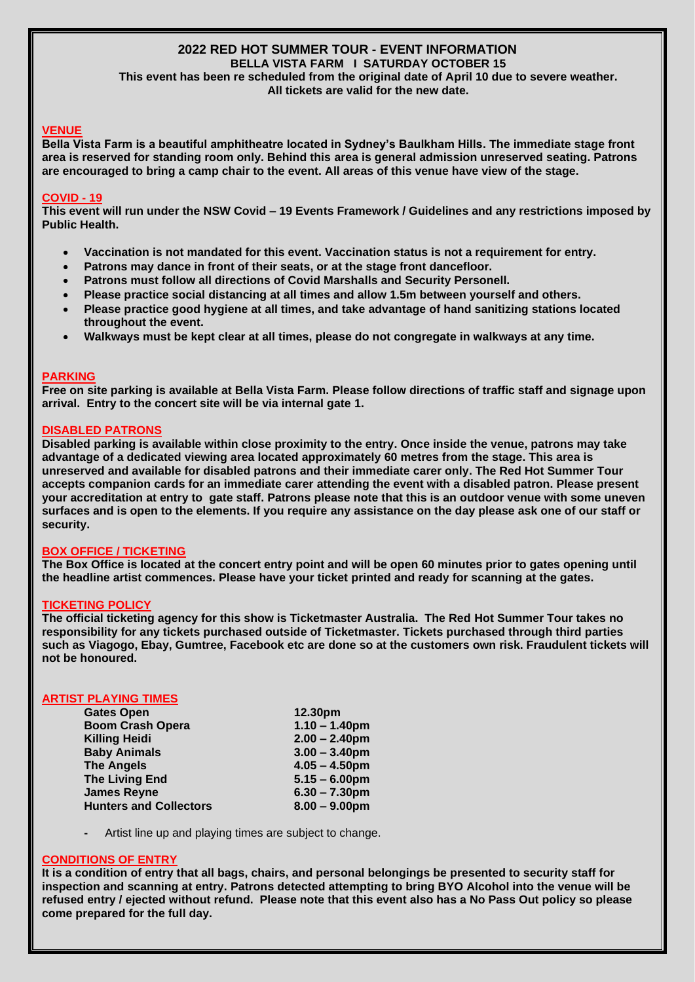#### **2022 RED HOT SUMMER TOUR - EVENT INFORMATION BELLA VISTA FARM I SATURDAY OCTOBER 15**

**This event has been re scheduled from the original date of April 10 due to severe weather. All tickets are valid for the new date.**

## **VENUE**

**Bella Vista Farm is a beautiful amphitheatre located in Sydney's Baulkham Hills. The immediate stage front area is reserved for standing room only. Behind this area is general admission unreserved seating. Patrons are encouraged to bring a camp chair to the event. All areas of this venue have view of the stage.**

### **COVID - 19**

**This event will run under the NSW Covid – 19 Events Framework / Guidelines and any restrictions imposed by Public Health.** 

- **Vaccination is not mandated for this event. Vaccination status is not a requirement for entry.**
- **Patrons may dance in front of their seats, or at the stage front dancefloor.**
- **Patrons must follow all directions of Covid Marshalls and Security Personell.**
- **Please practice social distancing at all times and allow 1.5m between yourself and others.**
- **Please practice good hygiene at all times, and take advantage of hand sanitizing stations located throughout the event.**
- **Walkways must be kept clear at all times, please do not congregate in walkways at any time.**

### **PARKING**

**Free on site parking is available at Bella Vista Farm. Please follow directions of traffic staff and signage upon arrival. Entry to the concert site will be via internal gate 1.**

## **DISABLED PATRONS**

**Disabled parking is available within close proximity to the entry. Once inside the venue, patrons may take advantage of a dedicated viewing area located approximately 60 metres from the stage. This area is unreserved and available for disabled patrons and their immediate carer only. The Red Hot Summer Tour accepts companion cards for an immediate carer attending the event with a disabled patron. Please present your accreditation at entry to gate staff. Patrons please note that this is an outdoor venue with some uneven surfaces and is open to the elements. If you require any assistance on the day please ask one of our staff or security.**

## **BOX OFFICE / TICKETING**

**The Box Office is located at the concert entry point and will be open 60 minutes prior to gates opening until the headline artist commences. Please have your ticket printed and ready for scanning at the gates.** 

#### **TICKETING POLICY**

**The official ticketing agency for this show is Ticketmaster Australia. The Red Hot Summer Tour takes no responsibility for any tickets purchased outside of Ticketmaster. Tickets purchased through third parties such as Viagogo, Ebay, Gumtree, Facebook etc are done so at the customers own risk. Fraudulent tickets will not be honoured.**

# **ARTIST PLAYING TIMES**

| <b>Gates Open</b>             | 12.30pm          |
|-------------------------------|------------------|
| <b>Boom Crash Opera</b>       | $1.10 - 1.40$ pm |
| <b>Killing Heidi</b>          | $2.00 - 2.40$ pm |
| <b>Baby Animals</b>           | $3.00 - 3.40$ pm |
| <b>The Angels</b>             | $4.05 - 4.50$ pm |
| <b>The Living End</b>         | $5.15 - 6.00$ pm |
| <b>James Reyne</b>            | $6.30 - 7.30$ pm |
| <b>Hunters and Collectors</b> | $8.00 - 9.00$ pm |
|                               |                  |

**-** Artist line up and playing times are subject to change.

## **CONDITIONS OF ENTRY**

**It is a condition of entry that all bags, chairs, and personal belongings be presented to security staff for inspection and scanning at entry. Patrons detected attempting to bring BYO Alcohol into the venue will be refused entry / ejected without refund. Please note that this event also has a No Pass Out policy so please come prepared for the full day.**